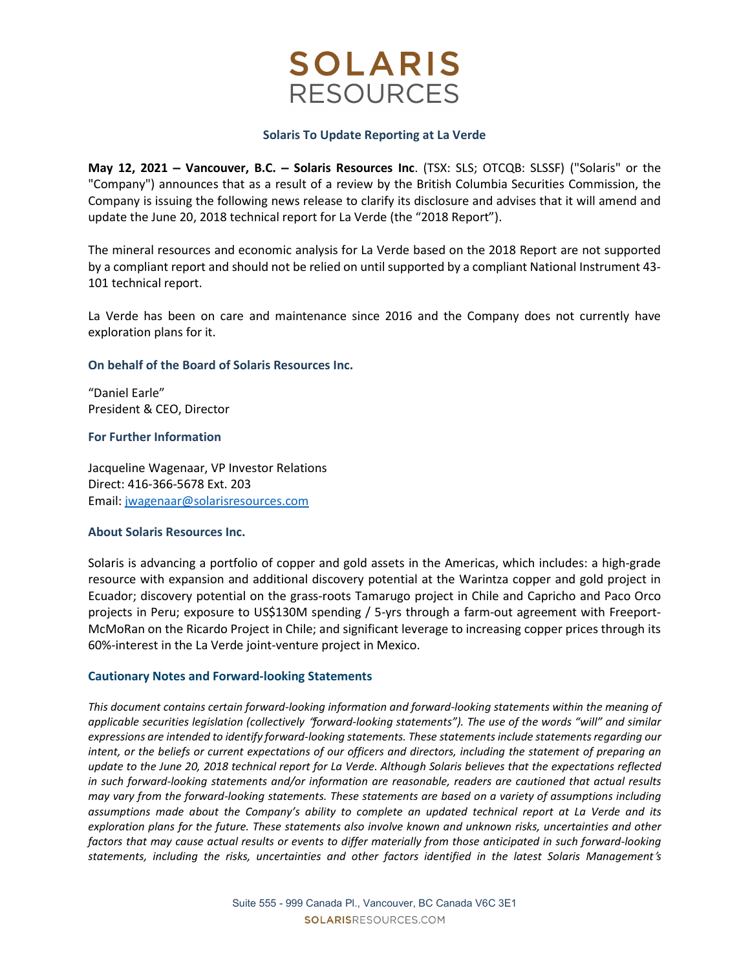# **SOLARIS RESOURCES**

## Solaris To Update Reporting at La Verde

May 12, 2021 – Vancouver, B.C. – Solaris Resources Inc. (TSX: SLS; OTCQB: SLSSF) ("Solaris" or the "Company") announces that as a result of a review by the British Columbia Securities Commission, the Company is issuing the following news release to clarify its disclosure and advises that it will amend and update the June 20, 2018 technical report for La Verde (the "2018 Report").

The mineral resources and economic analysis for La Verde based on the 2018 Report are not supported by a compliant report and should not be relied on until supported by a compliant National Instrument 43- 101 technical report.

La Verde has been on care and maintenance since 2016 and the Company does not currently have exploration plans for it.

## On behalf of the Board of Solaris Resources Inc.

"Daniel Earle" President & CEO, Director

## For Further Information

Jacqueline Wagenaar, VP Investor Relations Direct: 416-366-5678 Ext. 203 Email: jwagenaar@solarisresources.com

## About Solaris Resources Inc.

Solaris is advancing a portfolio of copper and gold assets in the Americas, which includes: a high-grade resource with expansion and additional discovery potential at the Warintza copper and gold project in Ecuador; discovery potential on the grass-roots Tamarugo project in Chile and Capricho and Paco Orco projects in Peru; exposure to US\$130M spending / 5-yrs through a farm-out agreement with Freeport-McMoRan on the Ricardo Project in Chile; and significant leverage to increasing copper prices through its 60%-interest in the La Verde joint-venture project in Mexico.

## Cautionary Notes and Forward-looking Statements

This document contains certain forward-looking information and forward-looking statements within the meaning of applicable securities legislation (collectively "forward-looking statements"). The use of the words "will" and similar expressions are intended to identify forward-looking statements. These statements include statements regarding our intent, or the beliefs or current expectations of our officers and directors, including the statement of preparing an update to the June 20, 2018 technical report for La Verde. Although Solaris believes that the expectations reflected in such forward-looking statements and/or information are reasonable, readers are cautioned that actual results may vary from the forward-looking statements. These statements are based on a variety of assumptions including assumptions made about the Company's ability to complete an updated technical report at La Verde and its exploration plans for the future. These statements also involve known and unknown risks, uncertainties and other factors that may cause actual results or events to differ materially from those anticipated in such forward-looking statements, including the risks, uncertainties and other factors identified in the latest Solaris Management's